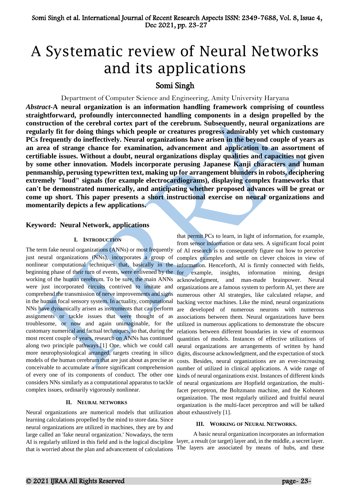# A Systematic review of Neural Networks and its applications

# Somi Singh

Department of Computer Science and Engineering, Amity University Haryana

*Abstract-***A neural organization is an information handling framework comprising of countless straightforward, profoundly interconnected handling components in a design propelled by the construction of the cerebral cortex part of the cerebrum. Subsequently, neural organizations are regularly fit for doing things which people or creatures progress admirably yet which customary PCs frequently do ineffectively. Neural organizations have arisen in the beyond couple of years as an area of strange chance for examination, advancement and application to an assortment of certifiable issues. Without a doubt, neural organizations display qualities and capacities not given by some other innovation. Models incorporate perusing Japanese Kanji characters and human penmanship, perusing typewritten text, making up for arrangement blunders in robots, deciphering extremely "loud" signals (for example electrocardiograms), displaying complex frameworks that can't be demonstrated numerically, and anticipating whether proposed advances will be great or come up short. This paper presents a short instructional exercise on neural organizations and momentarily depicts a few applications.**

## **Keyword: Neural Network, applications**

## **I. INTRODUCTION**

beginning phase of their turn of events, were enlivened by the were just incorporated circuits contrived to imitate and comprehend the transmission of nerve improvements and signs NNs have dynamically arisen as instruments that can perform are assignments or tackle issues that were thought of as troublesome, or now and again unimaginable, for the most recent couple of years, research on ANNs has continued along two principle pathways.[1] One, which we could call more neurophysiological arranged, targets creating in silico models of the human cerebrum that are just about as precise as of every one of its components of conduct. The other one considers NNs similarly as a computational apparatus to tackle of neural organizations are Hopfield organization, the multicomplex issues, ordinarily vigorously nonlinear.

#### **II. NEURAL NETWORKS**

Neural organizations are numerical models that utilization learning calculations propelled by the mind to store data. Since neural organizations are utilized in machines, they are by and large called an 'fake neural organization.' Nowadays, the term that is worried about the plan and advancement of calculations

The term fake neural organizations (ANNs) or most frequently of AI research is to consequently figure out how to perceive just neural organizations (NNs), incorporates a group of complex examples and settle on clever choices in view of nonlinear computational techniques that, basically in the information. Henceforth, AI is firmly connected with fields, working of the human cerebrum. To be sure, the main ANNs acknowledgment, and man-made brainpower. Neural in the human focal sensory system. In actuality, computational backing vector machines. Like the mind, neural organizations customary numerical and factual techniques, so that, during the relations between different boundaries in view of enormous conceivable to accumulate a more significant comprehension number of utilized in clinical applications. A wide range of that permit PCs to learn, in light of information, for example, from sensor information or data sets. A significant focal point for example, insights, information mining, design organizations are a famous system to perform AI, yet there are numerous other AI strategies, like calculated relapse, and developed of numerous neurons with numerous associations between them. Neural organizations have been utilized in numerous applications to demonstrate the obscure quantities of models. Instances of effective utilizations of neural organizations are arrangements of written by hand digits, discourse acknowledgment, and the expectation of stock costs. Besides, neural organizations are an ever-increasing kinds of neural organizations exist. Instances of different kinds facet perceptron, the Boltzmann machine, and the Kohonen organization. The most regularly utilized and fruitful neural organization is the multi-facet perceptron and will be talked about exhaustively [1].

#### **III. WORKING OF NEURAL NETWORKS.**

AI is regularly utilized in this field and is the logical discipline layer, a result (or target) layer and, in the middle, a secret layer. A basic neural organization incorporates an information The layers are associated by means of hubs, and these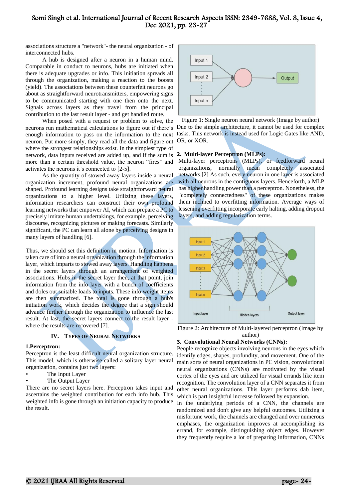associations structure a "network"- the neural organization - of interconnected hubs.

A hub is designed after a neuron in a human mind. Comparable in conduct to neurons, hubs are initiated when there is adequate upgrades or info. This initiation spreads all through the organization, making a reaction to the boosts (yield). The associations between these counterfeit neurons go about as straightforward neurotransmitters, empowering signs to be communicated starting with one then onto the next. Signals across layers as they travel from the principal contribution to the last result layer - and get handled route.

When posed with a request or problem to solve, the neurons run mathematical calculations to figure out if there's Due to the simple architecture, it cannot be used for complex enough information to pass on the information to the next tasks. This network is instead used for Logic Gates like AND, neuron. Put more simply, they read all the data and figure out where the strongest relationships exist. In the simplest type of network, data inputs received are added up, and if the sum is more than a certain threshold value, the neuron "fires" and activates the neurons it's connected to [2-5].

As the quantity of stowed away layers inside a neural organization increment, profound neural organizations are shaped. Profound learning designs take straightforward neural organizations to a higher level. Utilizing these layers, information researchers can construct their own profound learning networks that empower AI, which can prepare a PC to precisely imitate human undertakings, for example, perceiving discourse, recognizing pictures or making forecasts. Similarly significant, the PC can learn all alone by perceiving designs in many layers of handling [6].

Thus, we should set this definition in motion. Information is taken care of into a neural organization through the information layer, which imparts to stowed away layers. Handling happens in the secret layers through an arrangement of weighted associations. Hubs in the secret layer then, at that point, join information from the info layer with a bunch of coefficients and doles out suitable loads to inputs. These info weight items are then summarized. The total is gone through a hub's initiation work, which decides the degree that a sign should advance further through the organization to influence the last result. At last, the secret layers connect to the result layer where the results are recovered [7].

## **IV. TYPES OF NEURAL NETWORKS**

#### **1.Perceptron:**

Perceptron is the least difficult neural organization structure. This model, which is otherwise called a solitary layer neural organization, contains just two layers:

- The Input Layer
- The Output Layer

There are no secret layers here. Perceptron takes input and ascertains the weighted contribution for each info hub. This weighted info is gone through an initiation capacity to produce the result.



Figure 1: Single neuron neural network (Image by author) OR, or XOR.

#### **2. Multi-layer Perceptron (MLPs):**

Multi-layer perceptrons (MLPs), or feedforward neural organizations, normally mean completely associated networks.[2] As such, every neuron in one layer is associated with all neurons in the contiguous layers. Henceforth, a MLP has higher handling power than a perceptron. Nonetheless, the "completely connectedness" of these organizations makes them inclined to overfitting information. Average ways of lessening overfitting incorporate early halting, adding dropout layers, and adding regularization terms.



Figure 2: Architecture of Multi-layered perceptron (Image by author)

#### **3. Convolutional Neural Networks (CNNs):**

People recognize objects involving neurons in the eyes which identify edges, shapes, profundity, and movement. One of the main sorts of neural organizations in PC vision, convolutional neural organizations (CNNs) are motivated by the visual cortex of the eyes and are utilized for visual errands like item recognition. The convolution layer of a CNN separates it from other neural organizations. This layer performs dab item, which is part insightful increase followed by expansion.

In the underlying periods of a CNN, the channels are randomized and don't give any helpful outcomes. Utilizing a misfortune work, the channels are changed and over numerous emphases, the organization improves at accomplishing its errand, for example, distinguishing object edges. However they frequently require a lot of preparing information, CNNs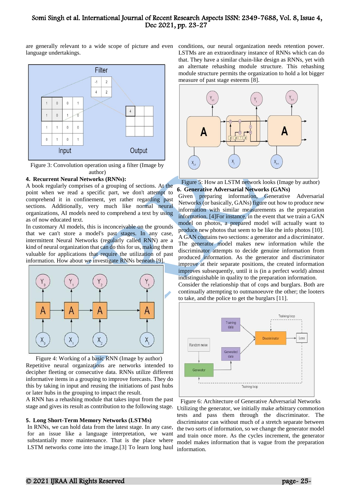are generally relevant to a wide scope of picture and even conditions, our neural organization needs retention power. language undertakings.



Figure 3: Convolution operation using a filter (Image by author)

#### **4. Recurrent Neural Networks (RNNs):**

A book regularly comprises of a grouping of sections. At the point when we read a specific part, we don't attempt to comprehend it in confinement, yet rather regarding past sections. Additionally, very much like normal neural organizations, AI models need to comprehend a text by using as of now educated text.

In customary AI models, this is inconceivable on the grounds that we can't store a model's past stages. In any case, intermittent Neural Networks (regularly called RNN) are a kind of neural organization that can do this for us, making them valuable for applications that require the utilization of past information. How about we investigate RNNs beneath [9].



Figure 4: Working of a basic RNN (Image by author) Repetitive neural organizations are networks intended to decipher fleeting or consecutive data. RNNs utilize different informative items in a grouping to improve forecasts. They do this by taking in input and reusing the initiations of past hubs or later hubs in the grouping to impact the result.

A RNN has a rehashing module that takes input from the past stage and gives its result as contribution to the following stage.

#### **5. Long Short-Term Memory Networks (LSTMs)**

In RNNs, we can hold data from the latest stage. In any case, for an issue like a language interpretation, we want substantially more maintenance. That is the place where LSTM networks come into the image.[3] To learn long haul

LSTMs are an extraordinary instance of RNNs which can do that. They have a similar chain-like design as RNNs, yet with an alternate rehashing module structure. This rehashing module structure permits the organization to hold a lot bigger measure of past stage esteems [8].



Figure 5: How an LSTM network looks (Image by author) **6. Generative Adversarial Networks (GANs)**

Given preparing information, Generative Adversarial Networks (or basically, GANs) figure out how to produce new information with similar measurements as the preparation information. [4]For instance, in the event that we train a GAN model on photos, a prepared model will actually want to produce new photos that seem to be like the info photos [10]. A GAN contains two sections: a generator and a discriminator. The generator model makes new information while the discriminator attempts to decide genuine information from produced information. As the generator and discriminator improve at their separate positions, the created information improves subsequently, until it is (in a perfect world) almost indistinguishable in quality to the preparation information.

Consider the relationship that of cops and burglars. Both are continually attempting to outmanoeuvre the other; the looters to take, and the police to get the burglars [11].



Figure 6: Architecture of Generative Adversarial Networks Utilizing the generator, we initially make arbitrary commotion tests and pass them through the discriminator. The discriminator can without much of a stretch separate between the two sorts of information, so we change the generator model and train once more. As the cycles increment, the generator model makes information that is vague from the preparation information.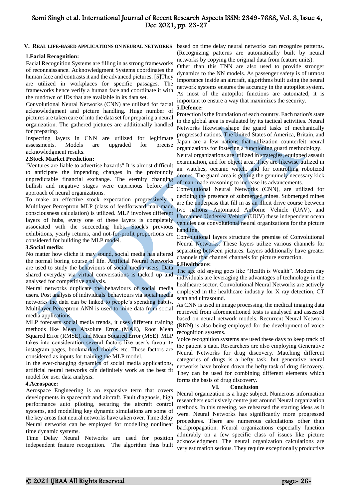#### **V. REAL LIFE-BASED APPLICATIONS ON NEURAL NETWORKS**

#### **1.Facial Recognition:**

Facial Recognition Systems are filling in as strong frameworks of reconnaissance. Acknowledgment Systems coordinates the human face and contrasts it and the advanced pictures. [5]They are utilized in workplaces for specific passages. The frameworks hence verify a human face and coordinate it with the rundown of IDs that are available in its data set.

Convolutional Neural Networks (CNN) are utilized for facial acknowledgment and picture handling. Huge number of pictures are taken care of into the data set for preparing a neural organization. The gathered pictures are additionally handled for preparing.

Inspecting layers in CNN are utilized for legitimate assessments. Models are upgraded for precise acknowledgment results.

#### **2.Stock Market Prediction:**

"Ventures are liable to advertise hazards" It is almost difficult to anticipate the impending changes in the profoundly unpredictable financial exchange. The eternity changing bullish and negative stages were capricious before the approach of neural organizations.

To make an effective stock expectation progressively a Multilayer Perceptron MLP (class of feedforward man-made consciousness calculation) is utilized. MLP involves different layers of hubs, every one of these layers is completely associated with the succeeding hubs. Stock's previous exhibitions, yearly returns, and not-for-profit proportions are considered for building the MLP model.

#### **3.Social media:**

No matter how cliche it may sound, social media has altered the normal boring course of life. Artificial Neural Networks are used to study the behaviours of social media users. Data shared everyday via virtual conversations is tacked up and analysed for competitive analysis.

Neural networks duplicate the behaviours of social media users. Post analysis of individuals' behaviours via social media networks the data can be linked to people's spending habits. Multilayer Perceptron ANN is used to mine data from social media applications.

MLP forecasts social media trends, it uses different training methods like Mean Absolute Error (MAE), Root Mean Squared Error (RMSE), and Mean Squared Error (MSE). MLP takes into consideration several factors like user's favourite instagram pages, bookmarked choices etc. These factors are considered as inputs for training the MLP model.

In the ever-changing dynamics of social media applications, artificial neural networks can definitely work as the best fit model for user data analysis.

#### **4.Aerospace:**

Aerospace Engineering is an expansive term that covers developments in spacecraft and aircraft. Fault diagnosis, high performance auto piloting, securing the aircraft control systems, and modelling key dynamic simulations are some of the key areas that neural networks have taken over. Time delay Neural networks can be employed for modelling nonlinear time dynamic systems.

Time Delay Neural Networks are used for position independent feature recognition. The algorithm thus built

based on time delay neural networks can recognize patterns. (Recognizing patterns are automatically built by neural networks by copying the original data from feature units).

Other than this TNN are also used to provide stronger dynamics to the NN models. As passenger safety is of utmost importance inside an aircraft, algorithms built using the neural network systems ensures the accuracy in the autopilot system. As most of the autopilot functions are automated, it is important to ensure a way that maximizes the security.

#### **5.Defence:**

Protection is the foundation of each country. Each nation's state in the global area is evaluated by its tactical activities. Neural Networks likewise shape the guard tasks of mechanically progressed nations. The United States of America, Britain, and Japan are a few nations that utilization counterfeit neural organizations for fostering a functioning guard methodology.

Neural organizations are utilized in strategies, equipped assault examination, and for object area. They are likewise utilized in air watches, oceanic watch, and for controlling robotized drones. The guard area is getting the genuinely necessary kick of man-made reasoning to increase its advancements.

Convolutional Neural Networks (CNN), are utilized for deciding the presence of submerged mines. Submerged mines are the underpass that fill in as an illicit drive course between two nations. Automated Airborne Vehicle (UAV), and Unmanned Undersea Vehicle (UUV) these independent ocean vehicles use convolutional neural organizations for the picture handling.

Convolutional layers structure the premise of Convolutional Neural Networks. These layers utilize various channels for separating between pictures. Layers additionally have greater channels that channel channels for picture extraction.

#### **6.Healthcare:**

The age old saying goes like "Health is Wealth". Modern day individuals are leveraging the advantages of technology in the healthcare sector. Convolutional Neural Networks are actively employed in the healthcare industry for X ray detection, CT scan and ultrasound.

As CNN is used in image processing, the medical imaging data retrieved from aforementioned tests is analysed and assessed based on neural network models. Recurrent Neural Network (RNN) is also being employed for the development of voice recognition systems.

Voice recognition systems are used these days to keep track of the patient's data. Researchers are also employing Generative Neural Networks for drug discovery. Matching different categories of drugs is a hefty task, but generative neural networks have broken down the hefty task of drug discovery. They can be used for combining different elements which forms the basis of drug discovery.

#### **VI. Conclusion**

Neural organization is a huge subject. Numerous information researchers exclusively centre just around Neural organization methods. In this meeting, we rehearsed the starting ideas as it were. Neural Networks has significantly more progressed procedures. There are numerous calculations other than backpropagation. Neural organizations especially function admirably on a few specific class of issues like picture acknowledgment. The neural organization calculations are very estimation serious. They require exceptionally productive